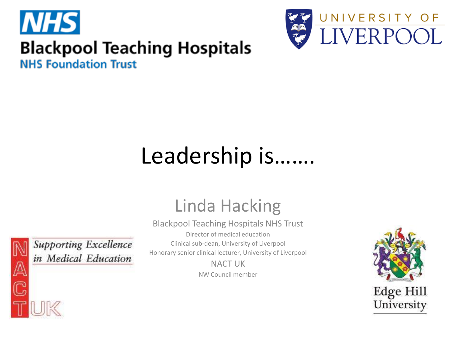



#### **Blackpool Teaching Hospitals**

**NHS Foundation Trust** 

#### Leadership is…….

#### Linda Hacking

Blackpool Teaching Hospitals NHS Trust

Director of medical education

Clinical sub-dean, University of Liverpool

Honorary senior clinical lecturer, University of Liverpool

NACT UK NW Council member





**Supporting Excellence** in Medical Education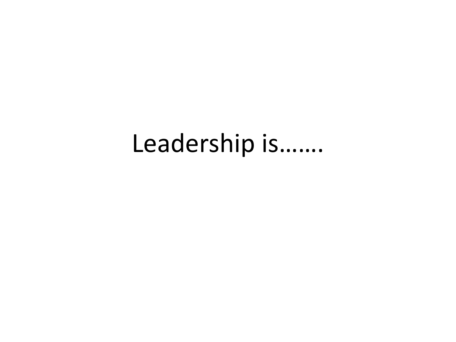#### Leadership is…….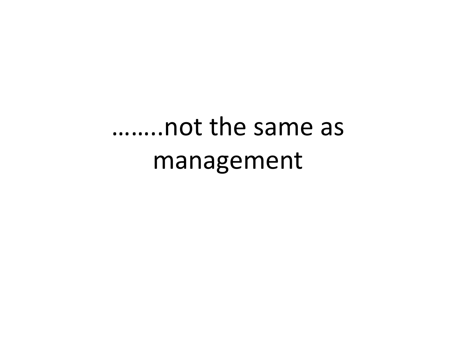# ……..not the same as management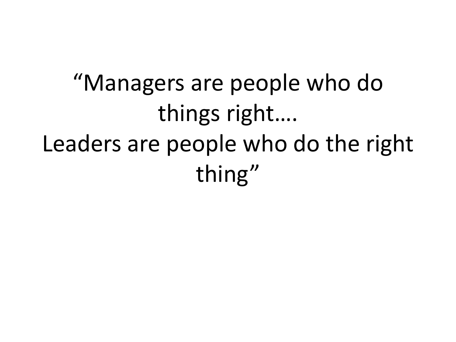"Managers are people who do things right…. Leaders are people who do the right thing"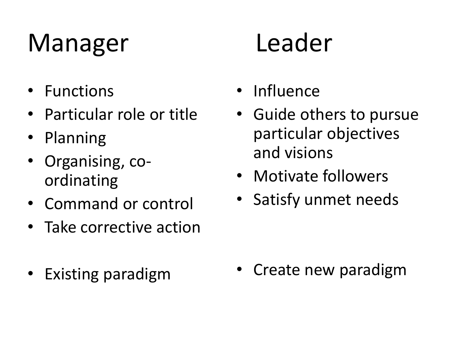## Manager Leader

- Functions
- Particular role or title
- Planning
- Organising, coordinating
- Command or control
- Take corrective action
- Existing paradigm

- Influence
- Guide others to pursue particular objectives and visions
- Motivate followers
- Satisfy unmet needs

• Create new paradigm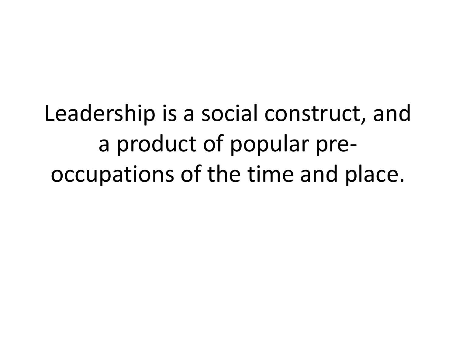Leadership is a social construct, and a product of popular preoccupations of the time and place.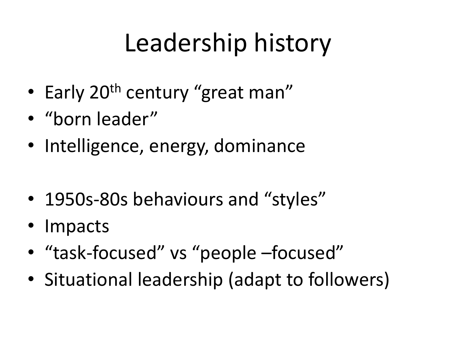## Leadership history

- Early 20<sup>th</sup> century "great man"
- "born leader"
- Intelligence, energy, dominance
- 1950s-80s behaviours and "styles"
- Impacts
- "task-focused" vs "people –focused"
- Situational leadership (adapt to followers)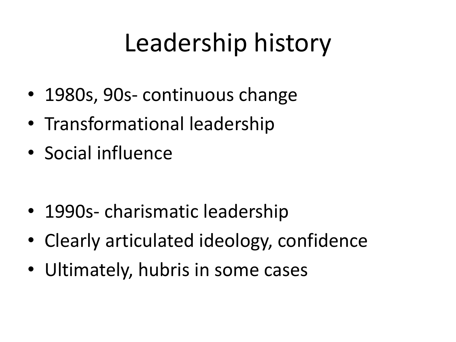### Leadership history

- 1980s, 90s- continuous change
- Transformational leadership
- Social influence

- 1990s- charismatic leadership
- Clearly articulated ideology, confidence
- Ultimately, hubris in some cases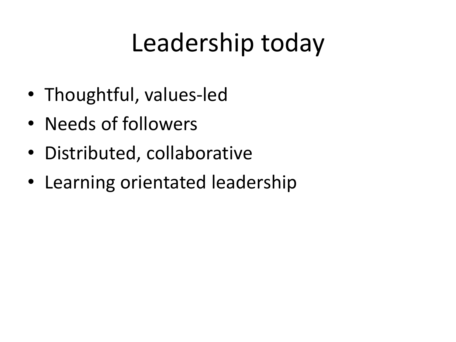#### Leadership today

- Thoughtful, values-led
- Needs of followers
- Distributed, collaborative
- Learning orientated leadership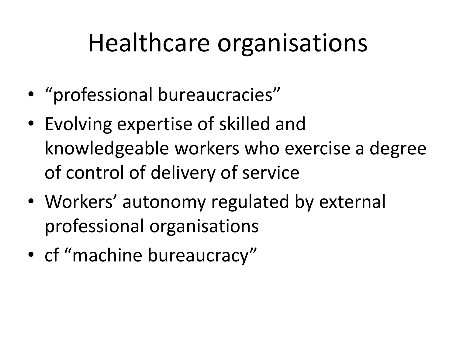#### Healthcare organisations

- "professional bureaucracies"
- Evolving expertise of skilled and knowledgeable workers who exercise a degree of control of delivery of service
- Workers' autonomy regulated by external professional organisations
- cf "machine bureaucracy"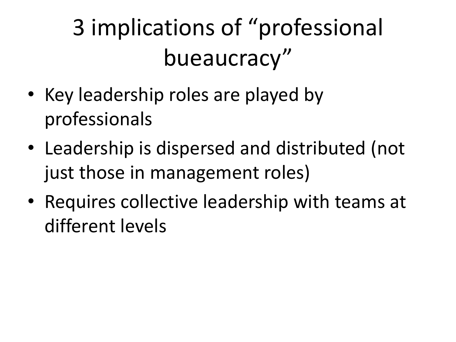3 implications of "professional bueaucracy"

- Key leadership roles are played by professionals
- Leadership is dispersed and distributed (not just those in management roles)
- Requires collective leadership with teams at different levels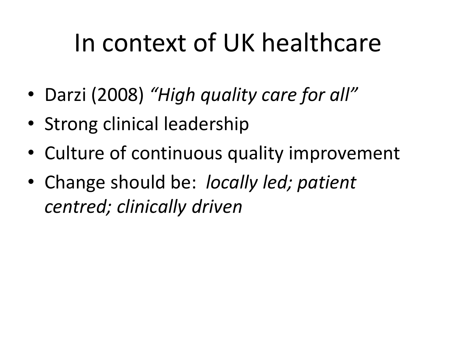#### In context of UK healthcare

- Darzi (2008) *"High quality care for all"*
- Strong clinical leadership
- Culture of continuous quality improvement
- Change should be: *locally led; patient centred; clinically driven*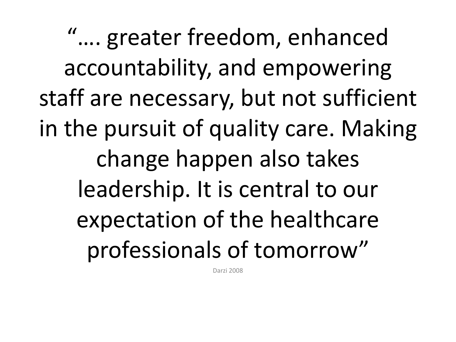"…. greater freedom, enhanced accountability, and empowering staff are necessary, but not sufficient in the pursuit of quality care. Making change happen also takes leadership. It is central to our expectation of the healthcare professionals of tomorrow"

Darzi 2008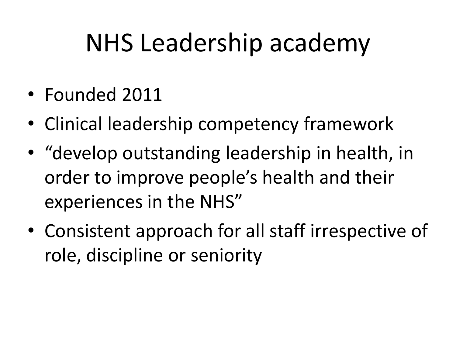#### NHS Leadership academy

- Founded 2011
- Clinical leadership competency framework
- "develop outstanding leadership in health, in order to improve people's health and their experiences in the NHS"
- Consistent approach for all staff irrespective of role, discipline or seniority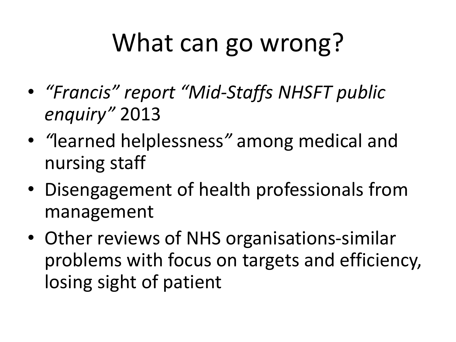## What can go wrong?

- *"Francis" report "Mid-Staffs NHSFT public enquiry"* 2013
- *"*learned helplessness*"* among medical and nursing staff
- Disengagement of health professionals from management
- Other reviews of NHS organisations-similar problems with focus on targets and efficiency, losing sight of patient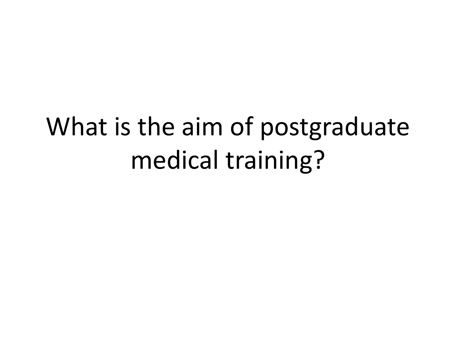## What is the aim of postgraduate medical training?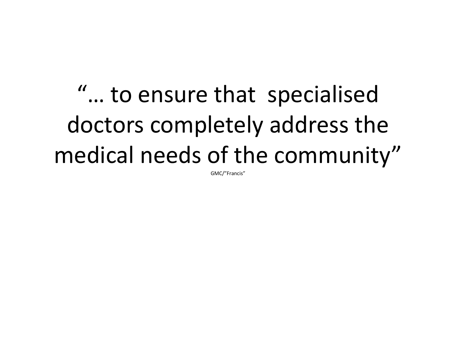"… to ensure that specialised doctors completely address the medical needs of the community"

GMC/"Francis"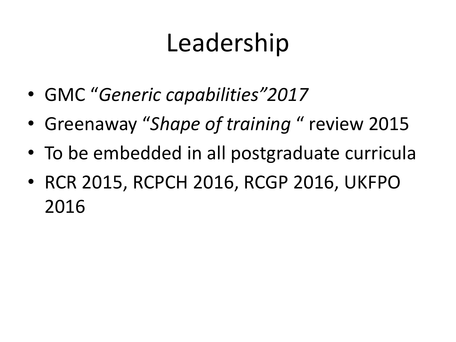### Leadership

- GMC "*Generic capabilities"2017*
- Greenaway "*Shape of training* " review 2015
- To be embedded in all postgraduate curricula
- RCR 2015, RCPCH 2016, RCGP 2016, UKFPO 2016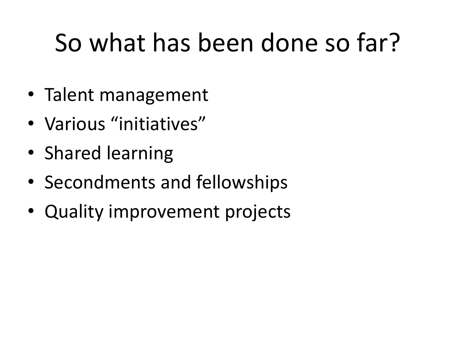## So what has been done so far?

- Talent management
- Various "initiatives"
- Shared learning
- Secondments and fellowships
- Quality improvement projects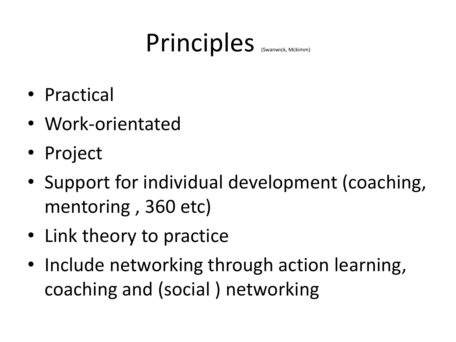#### Principles (Swanwick, Mckimm)

- Practical
- Work-orientated
- Project
- Support for individual development (coaching, mentoring , 360 etc)
- Link theory to practice
- Include networking through action learning, coaching and (social ) networking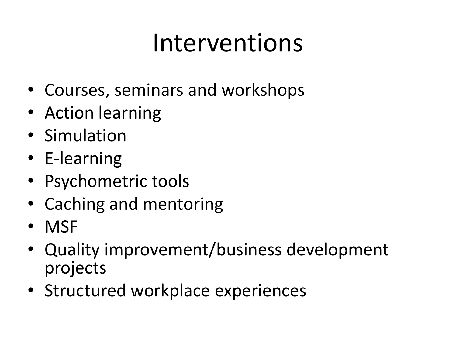#### Interventions

- Courses, seminars and workshops
- Action learning
- Simulation
- E-learning
- Psychometric tools
- Caching and mentoring
- MSF
- Quality improvement/business development projects
- Structured workplace experiences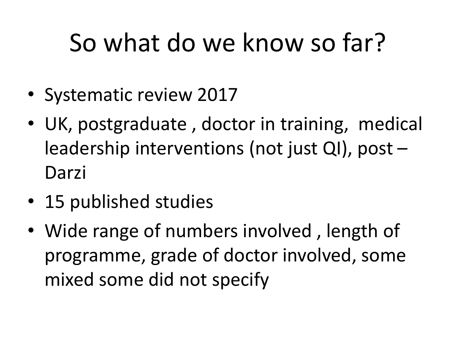## So what do we know so far?

- Systematic review 2017
- UK, postgraduate , doctor in training, medical leadership interventions (not just QI), post – Darzi
- 15 published studies
- Wide range of numbers involved, length of programme, grade of doctor involved, some mixed some did not specify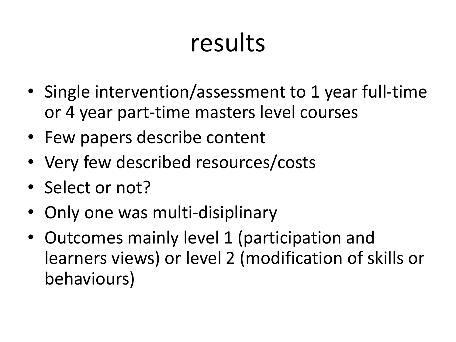#### results

- Single intervention/assessment to 1 year full-time or 4 year part-time masters level courses
- Few papers describe content
- Very few described resources/costs
- Select or not?
- Only one was multi-disiplinary
- Outcomes mainly level 1 (participation and learners views) or level 2 (modification of skills or behaviours)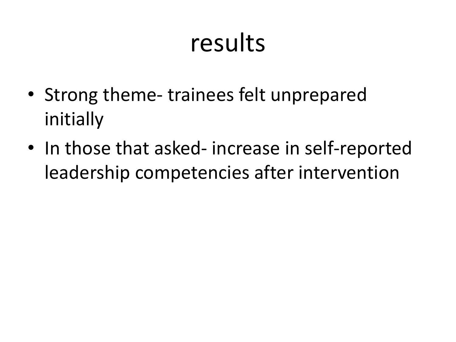#### results

- Strong theme- trainees felt unprepared initially
- In those that asked- increase in self-reported leadership competencies after intervention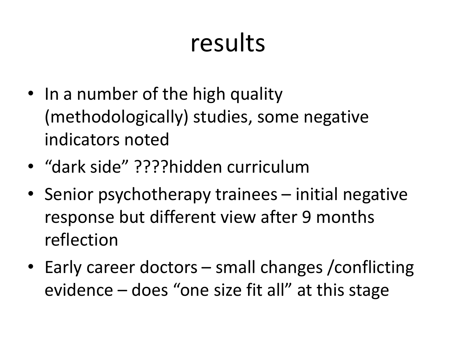#### results

- In a number of the high quality (methodologically) studies, some negative indicators noted
- "dark side" ????hidden curriculum
- Senior psychotherapy trainees initial negative response but different view after 9 months reflection
- Early career doctors small changes / conflicting evidence – does "one size fit all" at this stage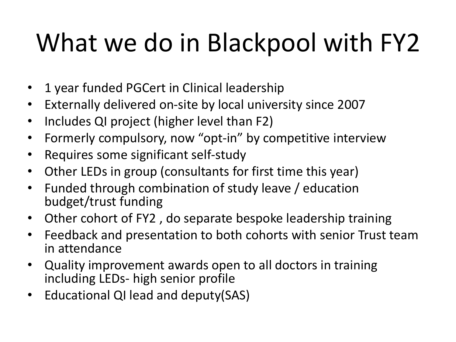# What we do in Blackpool with FY2

- 1 year funded PGCert in Clinical leadership
- Externally delivered on-site by local university since 2007
- Includes QI project (higher level than F2)
- Formerly compulsory, now "opt-in" by competitive interview
- Requires some significant self-study
- Other LEDs in group (consultants for first time this year)
- Funded through combination of study leave / education budget/trust funding
- Other cohort of FY2 , do separate bespoke leadership training
- Feedback and presentation to both cohorts with senior Trust team in attendance
- Quality improvement awards open to all doctors in training including LEDs- high senior profile
- Educational QI lead and deputy(SAS)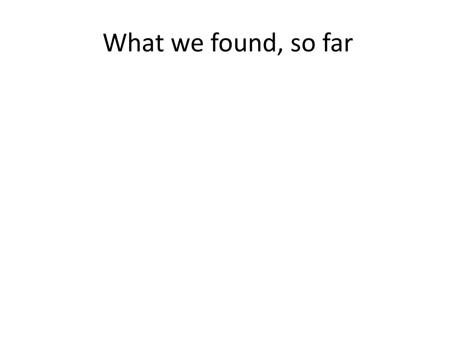#### What we found, so far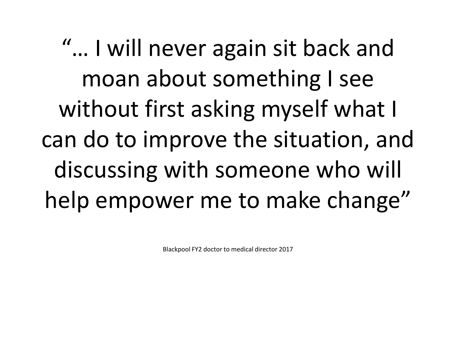"… I will never again sit back and moan about something I see without first asking myself what I can do to improve the situation, and discussing with someone who will help empower me to make change"

Blackpool FY2 doctor to medical director 2017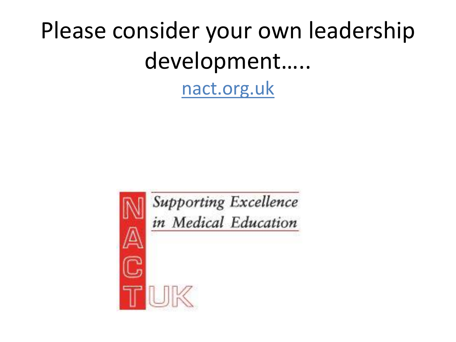#### Please consider your own leadership development…..

nact.org.uk



**Supporting Excellence** in Medical Education